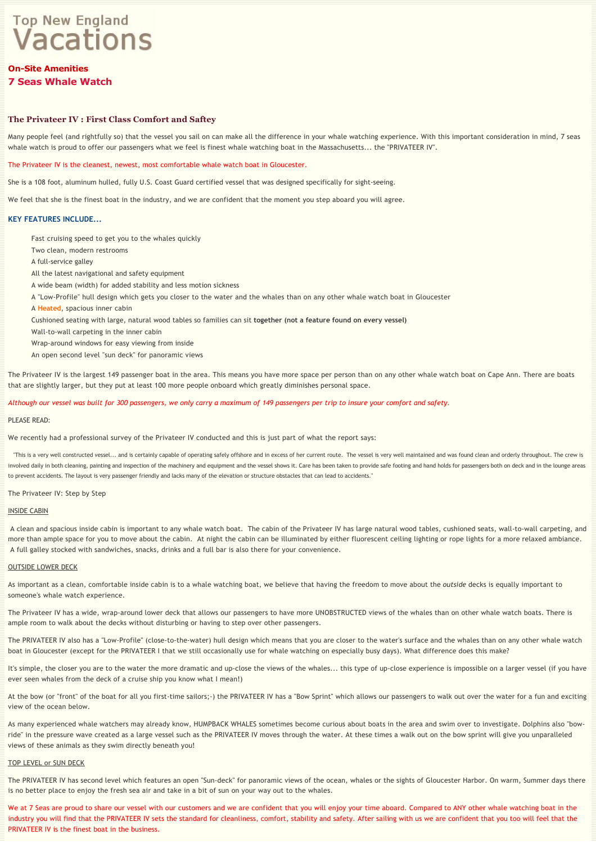# **Top New England Vacations**

# **On-Site Amenities 7 Seas Whale Watch**

# **The Privateer IV : First Class Comfort and Saftey**

Many people feel (and rightfully so) that the vessel you sail on can make all the difference in your whale watching experience. With this important consideration in mind, 7 seas whale watch is proud to offer our passengers what we feel is finest whale watching boat in the Massachusetts... the "PRIVATEER IV".

The Privateer IV is the cleanest, newest, most comfortable whale watch boat in Gloucester.

She is a 108 foot, aluminum hulled, fully U.S. Coast Guard certified vessel that was designed specifically for sight-seeing.

We feel that she is the finest boat in the industry, and we are confident that the moment you step aboard you will agree.

# **KEY FEATURES INCLUDE...**

Fast cruising speed to get you to the whales quickly Two clean, modern restrooms A full‐service galley All the latest navigational and safety equipment A wide beam (width) for added stability and less motion sickness A "Low‐Profile" hull design which gets you closer to the water and the whales than on any other whale watch boat in Gloucester A **Heated**, spacious inner cabin Cushioned seating with large, natural wood tables so families can sit **together (not a feature found on every vessel)** Wall‐to‐wall carpeting in the inner cabin Wrap‐around windows for easy viewing from inside An open second level "sun deck" for panoramic views

The Privateer IV is the largest 149 passenger boat in the area. This means you have more space per person than on any other whale watch boat on Cape Ann. There are boats that are slightly larger, but they put at least 100 more people onboard which greatly diminishes personal space.

#### *Although our vessel was built for 300 passengers, we only carry a maximum of 149 passengers per trip to insure your comfort and safety.*

#### PLEASE READ:

We recently had a professional survey of the Privateer IV conducted and this is just part of what the report says:

 "This is a very well constructed vessel... and is certainly capable of operating safely offshore and in excess of her current route. The vessel is very well maintained and was found clean and orderly throughout. The crew is involved daily in both cleaning, painting and inspection of the machinery and equipment and the vessel shows it. Care has been taken to provide safe footing and hand holds for passengers both on deck and in the lounge area to prevent accidents. The layout is very passenger friendly and lacks many of the elevation or structure obstacles that can lead to accidents."

#### The Privateer IV: Step by Step

# INSIDE CABIN

 A clean and spacious inside cabin is important to any whale watch boat. The cabin of the Privateer IV has large natural wood tables, cushioned seats, wall‐to‐wall carpeting, and more than ample space for you to move about the cabin. At night the cabin can be illuminated by either fluorescent ceiling lighting or rope lights for a more relaxed ambiance. A full galley stocked with sandwiches, snacks, drinks and a full bar is also there for your convenience.

#### OUTSIDE LOWER DECK

As important as a clean, comfortable inside cabin is to a whale watching boat, we believe that having the freedom to move about the *outside* decks is equally important to someone's whale watch experience.

The Privateer IV has a wide, wrap-around lower deck that allows our passengers to have more UNOBSTRUCTED views of the whales than on other whale watch boats. There is ample room to walk about the decks without disturbing or having to step over other passengers.

The PRIVATEER IV also has a "Low-Profile" (close-to-the-water) hull design which means that you are closer to the water's surface and the whales than on any other whale watch boat in Gloucester (except for the PRIVATEER I that we still occasionally use for whale watching on especially busy days). What difference does this make?

It's simple, the closer you are to the water the more dramatic and up‐close the views of the whales... this type of up‐close experience is impossible on a larger vessel (if you have ever seen whales from the deck of a cruise ship you know what I mean!)

At the bow (or "front" of the boat for all you first‐time sailors;-) the PRIVATEER IV has a "Bow Sprint" which allows our passengers to walk out over the water for a fun and exciting view of the ocean below.

As many experienced whale watchers may already know, HUMPBACK WHALES sometimes become curious about boats in the area and swim over to investigate. Dolphins also "bowride" in the pressure wave created as a large vessel such as the PRIVATEER IV moves through the water. At these times a walk out on the bow sprint will give you unparalleled views of these animals as they swim directly beneath you!

## TOP LEVEL or SUN DECK

The PRIVATEER IV has second level which features an open "Sun-deck" for panoramic views of the ocean, whales or the sights of Gloucester Harbor. On warm, Summer days there is no better place to enjoy the fresh sea air and take in a bit of sun on your way out to the whales.

We at 7 Seas are proud to share our vessel with our customers and we are confident that you will enjoy your time aboard. Compared to ANY other whale watching boat in the industry you will find that the PRIVATEER IV sets the standard for cleanliness, comfort, stability and safety. After sailing with us we are confident that you too will feel that the PRIVATEER IV is the finest boat in the business.